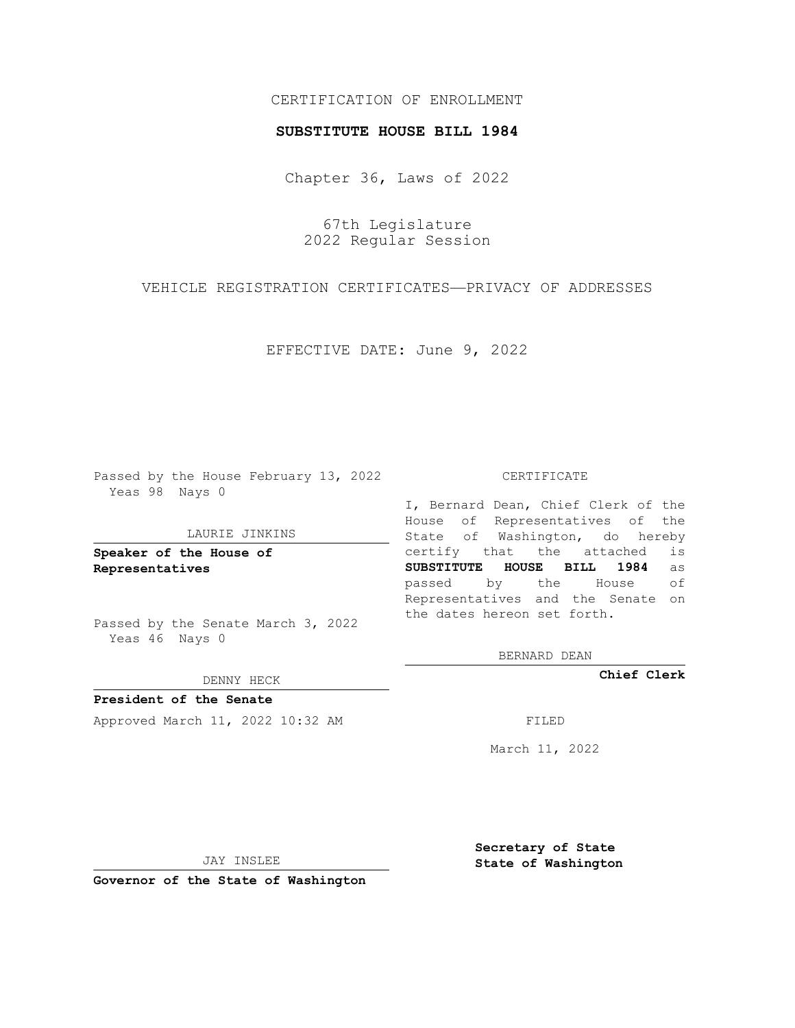# CERTIFICATION OF ENROLLMENT

### **SUBSTITUTE HOUSE BILL 1984**

Chapter 36, Laws of 2022

67th Legislature 2022 Regular Session

VEHICLE REGISTRATION CERTIFICATES—PRIVACY OF ADDRESSES

EFFECTIVE DATE: June 9, 2022

Passed by the House February 13, 2022 Yeas 98 Nays 0

### LAURIE JINKINS

**Speaker of the House of Representatives**

Passed by the Senate March 3, 2022 Yeas 46 Nays 0

DENNY HECK

**President of the Senate** Approved March 11, 2022 10:32 AM FILED

#### CERTIFICATE

I, Bernard Dean, Chief Clerk of the House of Representatives of the State of Washington, do hereby certify that the attached is **SUBSTITUTE HOUSE BILL 1984** as passed by the House of Representatives and the Senate on the dates hereon set forth.

BERNARD DEAN

**Chief Clerk**

March 11, 2022

JAY INSLEE

**Governor of the State of Washington**

**Secretary of State State of Washington**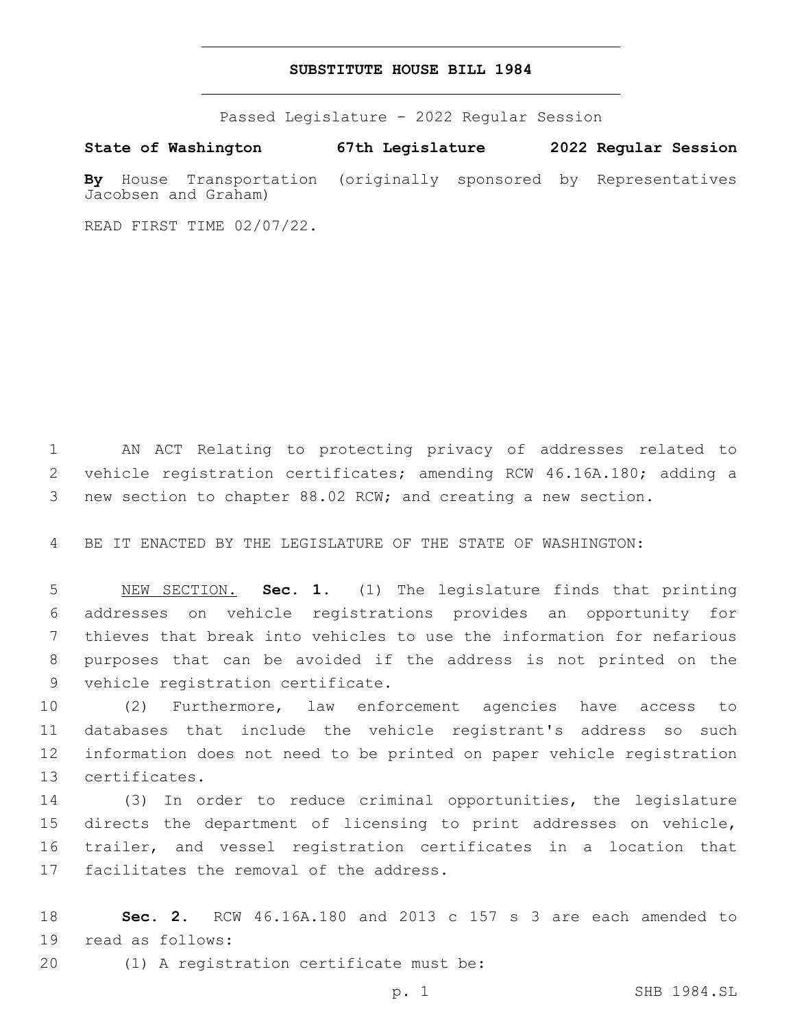## **SUBSTITUTE HOUSE BILL 1984**

Passed Legislature - 2022 Regular Session

**State of Washington 67th Legislature 2022 Regular Session By** House Transportation (originally sponsored by Representatives Jacobsen and Graham)

READ FIRST TIME 02/07/22.

1 AN ACT Relating to protecting privacy of addresses related to 2 vehicle registration certificates; amending RCW 46.16A.180; adding a 3 new section to chapter 88.02 RCW; and creating a new section.

4 BE IT ENACTED BY THE LEGISLATURE OF THE STATE OF WASHINGTON:

 NEW SECTION. **Sec. 1.** (1) The legislature finds that printing addresses on vehicle registrations provides an opportunity for thieves that break into vehicles to use the information for nefarious purposes that can be avoided if the address is not printed on the vehicle registration certificate.

 (2) Furthermore, law enforcement agencies have access to databases that include the vehicle registrant's address so such information does not need to be printed on paper vehicle registration 13 certificates.

 (3) In order to reduce criminal opportunities, the legislature directs the department of licensing to print addresses on vehicle, trailer, and vessel registration certificates in a location that 17 facilitates the removal of the address.

18 **Sec. 2.** RCW 46.16A.180 and 2013 c 157 s 3 are each amended to 19 read as follows:

(1) A registration certificate must be:20

p. 1 SHB 1984.SL